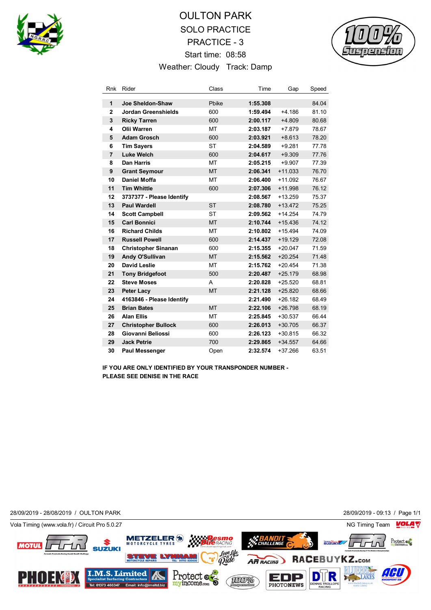

## OULTON PARK SOLO PRACTICE PRACTICE - 3 Start time: 08:58 Weather: Cloudy Track: Damp



| Rnk            | Rider                      | Class     | Time     | Gap       | Speed |
|----------------|----------------------------|-----------|----------|-----------|-------|
| 1              | Joe Sheldon-Shaw           | Pbike     | 1:55.308 |           | 84.04 |
| $\overline{2}$ | <b>Jordan Greenshields</b> | 600       | 1:59.494 | $+4.186$  | 81.10 |
| 3              | <b>Ricky Tarren</b>        | 600       | 2:00.117 | $+4.809$  | 80.68 |
| 4              | Olii Warren                | MT        | 2:03.187 | $+7.879$  | 78.67 |
| 5              | <b>Adam Grosch</b>         | 600       | 2:03.921 | $+8.613$  | 78.20 |
| 6              | <b>Tim Savers</b>          | <b>ST</b> | 2:04.589 | $+9.281$  | 77.78 |
| $\overline{7}$ | <b>Luke Welch</b>          | 600       | 2:04.617 | $+9.309$  | 77.76 |
| 8              | Dan Harris                 | MT        | 2:05.215 | $+9.907$  | 77.39 |
| 9              | <b>Grant Seymour</b>       | <b>MT</b> | 2:06.341 | $+11.033$ | 76.70 |
| 10             | <b>Daniel Moffa</b>        | <b>MT</b> | 2:06.400 | $+11.092$ | 76.67 |
| 11             | <b>Tim Whittle</b>         | 600       | 2:07.306 | $+11.998$ | 76.12 |
| 12             | 3737377 - Please Identify  |           | 2:08.567 | $+13.259$ | 75.37 |
| 13             | <b>Paul Wardell</b>        | <b>ST</b> | 2:08.780 | $+13.472$ | 75.25 |
| 14             | <b>Scott Campbell</b>      | <b>ST</b> | 2:09.562 | $+14.254$ | 74.79 |
| 15             | <b>Carl Bonnici</b>        | <b>MT</b> | 2:10.744 | $+15.436$ | 74.12 |
| 16             | <b>Richard Childs</b>      | MT        | 2:10.802 | $+15.494$ | 74.09 |
| 17             | <b>Russell Powell</b>      | 600       | 2:14.437 | $+19.129$ | 72.08 |
| 18             | <b>Christopher Sinanan</b> | 600       | 2:15.355 | $+20.047$ | 71.59 |
| 19             | Andy O'Sullivan            | <b>MT</b> | 2:15.562 | $+20.254$ | 71.48 |
| 20             | <b>David Leslie</b>        | MT        | 2:15.762 | $+20.454$ | 71.38 |
| 21             | <b>Tony Bridgefoot</b>     | 500       | 2:20.487 | $+25.179$ | 68.98 |
| 22             | <b>Steve Moses</b>         | A         | 2:20.828 | $+25.520$ | 68.81 |
| 23             | <b>Peter Lacy</b>          | <b>MT</b> | 2:21.128 | $+25.820$ | 68.66 |
| 24             | 4163846 - Please Identify  |           | 2:21.490 | $+26.182$ | 68.49 |
| 25             | <b>Brian Bates</b>         | <b>MT</b> | 2:22.106 | $+26.798$ | 68.19 |
| 26             | <b>Alan Ellis</b>          | MT        | 2:25.845 | $+30.537$ | 66.44 |
| 27             | <b>Christopher Bullock</b> | 600       | 2:26.013 | $+30.705$ | 66.37 |
| 28             | Giovanni Beliossi          | 600       | 2:26.123 | $+30.815$ | 66.32 |
| 29             | <b>Jack Petrie</b>         | 700       | 2:29.865 | $+34.557$ | 64.66 |
| 30             | <b>Paul Messenger</b>      | Open      | 2:32.574 | +37.266   | 63.51 |

**IF YOU ARE ONLY IDENTIFIED BY YOUR TRANSPONDER NUMBER - PLEASE SEE DENISE IN THE RACE**